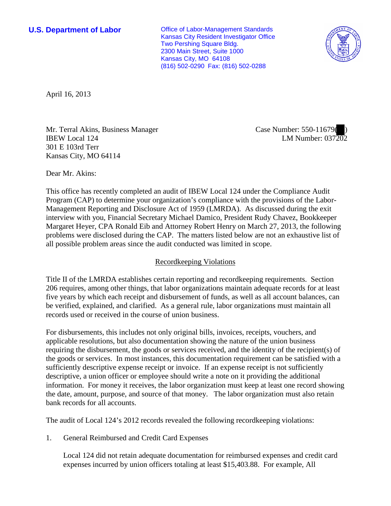**U.S. Department of Labor Office of Labor-Management Standards** Kansas City Resident Investigator Office Two Pershing Square Bldg. 2300 Main Street, Suite 1000 Kansas City, MO 64108 (816) 502-0290 Fax: (816) 502-0288



April 16, 2013

Mr. Terral Akins, Business Manager IBEW Local 124 301 E 103rd Terr Kansas City, MO 64114

Case Number: 550-11679( ) LM Number: 037202

Dear Mr. Akins:

This office has recently completed an audit of IBEW Local 124 under the Compliance Audit Program (CAP) to determine your organization's compliance with the provisions of the Labor-Management Reporting and Disclosure Act of 1959 (LMRDA). As discussed during the exit interview with you, Financial Secretary Michael Damico, President Rudy Chavez, Bookkeeper Margaret Heyer, CPA Ronald Eib and Attorney Robert Henry on March 27, 2013, the following problems were disclosed during the CAP. The matters listed below are not an exhaustive list of all possible problem areas since the audit conducted was limited in scope.

## Recordkeeping Violations

Title II of the LMRDA establishes certain reporting and recordkeeping requirements. Section 206 requires, among other things, that labor organizations maintain adequate records for at least five years by which each receipt and disbursement of funds, as well as all account balances, can be verified, explained, and clarified. As a general rule, labor organizations must maintain all records used or received in the course of union business.

For disbursements, this includes not only original bills, invoices, receipts, vouchers, and applicable resolutions, but also documentation showing the nature of the union business requiring the disbursement, the goods or services received, and the identity of the recipient(s) of the goods or services. In most instances, this documentation requirement can be satisfied with a sufficiently descriptive expense receipt or invoice. If an expense receipt is not sufficiently descriptive, a union officer or employee should write a note on it providing the additional information. For money it receives, the labor organization must keep at least one record showing the date, amount, purpose, and source of that money. The labor organization must also retain bank records for all accounts.

The audit of Local 124's 2012 records revealed the following recordkeeping violations:

1. General Reimbursed and Credit Card Expenses

Local 124 did not retain adequate documentation for reimbursed expenses and credit card expenses incurred by union officers totaling at least \$15,403.88. For example, All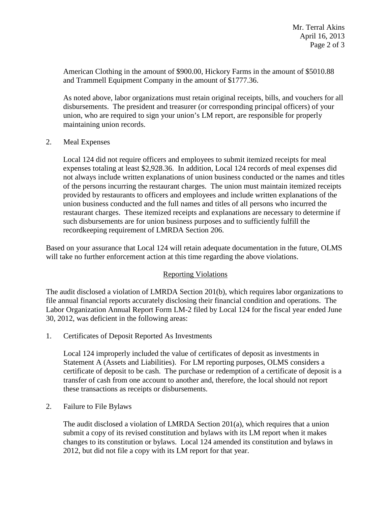American Clothing in the amount of \$900.00, Hickory Farms in the amount of \$5010.88 and Trammell Equipment Company in the amount of \$1777.36.

As noted above, labor organizations must retain original receipts, bills, and vouchers for all disbursements. The president and treasurer (or corresponding principal officers) of your union, who are required to sign your union's LM report, are responsible for properly maintaining union records.

2. Meal Expenses

Local 124 did not require officers and employees to submit itemized receipts for meal expenses totaling at least \$2,928.36. In addition, Local 124 records of meal expenses did not always include written explanations of union business conducted or the names and titles of the persons incurring the restaurant charges. The union must maintain itemized receipts provided by restaurants to officers and employees and include written explanations of the union business conducted and the full names and titles of all persons who incurred the restaurant charges. These itemized receipts and explanations are necessary to determine if such disbursements are for union business purposes and to sufficiently fulfill the recordkeeping requirement of LMRDA Section 206.

Based on your assurance that Local 124 will retain adequate documentation in the future, OLMS will take no further enforcement action at this time regarding the above violations.

## Reporting Violations

The audit disclosed a violation of LMRDA Section 201(b), which requires labor organizations to file annual financial reports accurately disclosing their financial condition and operations. The Labor Organization Annual Report Form LM-2 filed by Local 124 for the fiscal year ended June 30, 2012, was deficient in the following areas:

1. Certificates of Deposit Reported As Investments

Local 124 improperly included the value of certificates of deposit as investments in Statement A (Assets and Liabilities). For LM reporting purposes, OLMS considers a certificate of deposit to be cash. The purchase or redemption of a certificate of deposit is a transfer of cash from one account to another and, therefore, the local should not report these transactions as receipts or disbursements.

2. Failure to File Bylaws

The audit disclosed a violation of LMRDA Section 201(a), which requires that a union submit a copy of its revised constitution and bylaws with its LM report when it makes changes to its constitution or bylaws. Local 124 amended its constitution and bylaws in 2012, but did not file a copy with its LM report for that year.